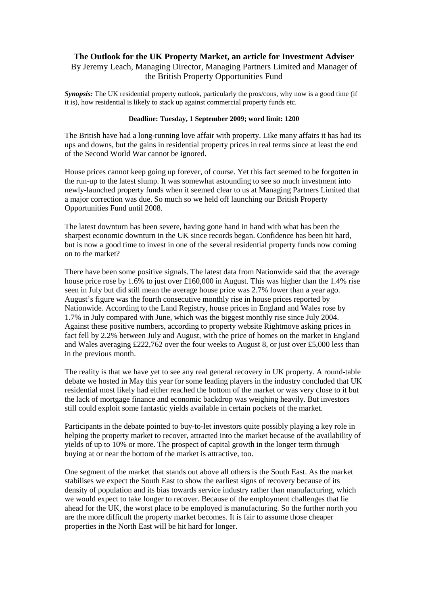## **The Outlook for the UK Property Market, an article for Investment Adviser** By Jeremy Leach, Managing Director, Managing Partners Limited and Manager of the British Property Opportunities Fund

*Synopsis:* The UK residential property outlook, particularly the pros/cons, why now is a good time (if it is), how residential is likely to stack up against commercial property funds etc.

## **Deadline: Tuesday, 1 September 2009; word limit: 1200**

The British have had a long-running love affair with property. Like many affairs it has had its ups and downs, but the gains in residential property prices in real terms since at least the end of the Second World War cannot be ignored.

House prices cannot keep going up forever, of course. Yet this fact seemed to be forgotten in the run-up to the latest slump. It was somewhat astounding to see so much investment into newly-launched property funds when it seemed clear to us at Managing Partners Limited that a major correction was due. So much so we held off launching our British Property Opportunities Fund until 2008.

The latest downturn has been severe, having gone hand in hand with what has been the sharpest economic downturn in the UK since records began. Confidence has been hit hard, but is now a good time to invest in one of the several residential property funds now coming on to the market?

There have been some positive signals. The latest data from Nationwide said that the average house price rose by 1.6% to just over £160,000 in August. This was higher than the 1.4% rise seen in July but did still mean the average house price was 2.7% lower than a year ago. August's figure was the fourth consecutive monthly rise in house prices reported by Nationwide. According to the Land Registry, house prices in England and Wales rose by 1.7% in July compared with June, which was the biggest monthly rise since July 2004. Against these positive numbers, according to property website Rightmove asking prices in fact fell by 2.2% between July and August, with the price of homes on the market in England and Wales averaging £222,762 over the four weeks to August 8, or just over £5,000 less than in the previous month.

The reality is that we have yet to see any real general recovery in UK property. A round-table debate we hosted in May this year for some leading players in the industry concluded that UK residential most likely had either reached the bottom of the market or was very close to it but the lack of mortgage finance and economic backdrop was weighing heavily. But investors still could exploit some fantastic yields available in certain pockets of the market.

Participants in the debate pointed to buy-to-let investors quite possibly playing a key role in helping the property market to recover, attracted into the market because of the availability of yields of up to 10% or more. The prospect of capital growth in the longer term through buying at or near the bottom of the market is attractive, too.

One segment of the market that stands out above all others is the South East. As the market stabilises we expect the South East to show the earliest signs of recovery because of its density of population and its bias towards service industry rather than manufacturing, which we would expect to take longer to recover. Because of the employment challenges that lie ahead for the UK, the worst place to be employed is manufacturing. So the further north you are the more difficult the property market becomes. It is fair to assume those cheaper properties in the North East will be hit hard for longer.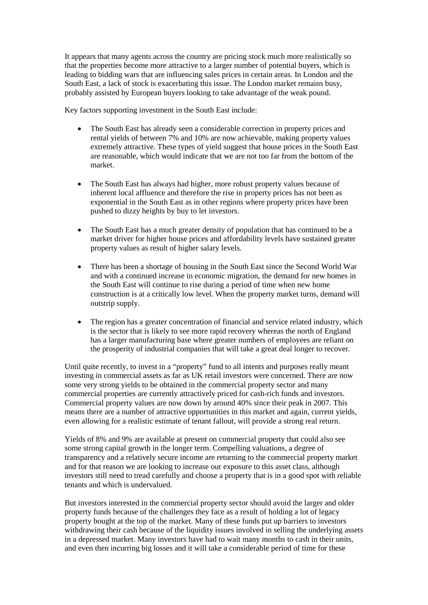It appears that many agents across the country are pricing stock much more realistically so that the properties become more attractive to a larger number of potential buyers, which is leading to bidding wars that are influencing sales prices in certain areas. In London and the South East, a lack of stock is exacerbating this issue. The London market remains busy, probably assisted by European buyers looking to take advantage of the weak pound.

Key factors supporting investment in the South East include:

- The South East has already seen a considerable correction in property prices and rental yields of between 7% and 10% are now achievable, making property values extremely attractive. These types of yield suggest that house prices in the South East are reasonable, which would indicate that we are not too far from the bottom of the market.
- The South East has always had higher, more robust property values because of inherent local affluence and therefore the rise in property prices has not been as exponential in the South East as in other regions where property prices have been pushed to dizzy heights by buy to let investors.
- The South East has a much greater density of population that has continued to be a market driver for higher house prices and affordability levels have sustained greater property values as result of higher salary levels.
- There has been a shortage of housing in the South East since the Second World War and with a continued increase in economic migration, the demand for new homes in the South East will continue to rise during a period of time when new home construction is at a critically low level. When the property market turns, demand will outstrip supply.
- The region has a greater concentration of financial and service related industry, which is the sector that is likely to see more rapid recovery whereas the north of England has a larger manufacturing base where greater numbers of employees are reliant on the prosperity of industrial companies that will take a great deal longer to recover.

Until quite recently, to invest in a "property" fund to all intents and purposes really meant investing in commercial assets as far as UK retail investors were concerned. There are now some very strong yields to be obtained in the commercial property sector and many commercial properties are currently attractively priced for cash-rich funds and investors. Commercial property values are now down by around 40% since their peak in 2007. This means there are a number of attractive opportunities in this market and again, current yields, even allowing for a realistic estimate of tenant fallout, will provide a strong real return.

Yields of 8% and 9% are available at present on commercial property that could also see some strong capital growth in the longer term. Compelling valuations, a degree of transparency and a relatively secure income are returning to the commercial property market and for that reason we are looking to increase our exposure to this asset class, although investors still need to tread carefully and choose a property that is in a good spot with reliable tenants and which is undervalued.

But investors interested in the commercial property sector should avoid the larger and older property funds because of the challenges they face as a result of holding a lot of legacy property bought at the top of the market. Many of these funds put up barriers to investors withdrawing their cash because of the liquidity issues involved in selling the underlying assets in a depressed market. Many investors have had to wait many months to cash in their units, and even then incurring big losses and it will take a considerable period of time for these